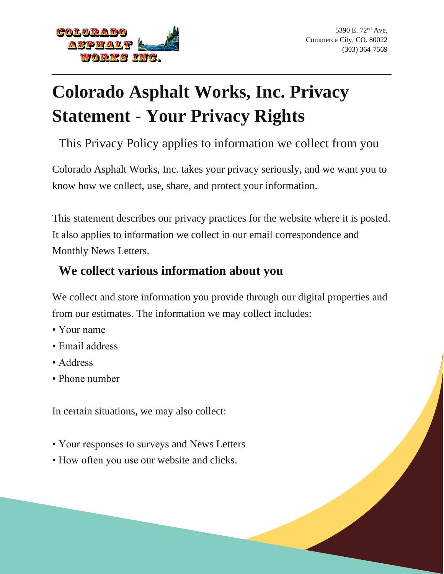

# **Colorado Asphalt Works, Inc. Privacy Statement - Your Privacy Rights**

This Privacy Policy applies to information we collect from you

Colorado Asphalt Works, Inc. takes your privacy seriously, and we want you to know how we collect, use, share, and protect your information.

This statement describes our privacy practices for the website where it is posted. It also applies to information we collect in our email correspondence and Monthly News Letters.

## **We collect various information about you**

We collect and store information you provide through our digital properties and from our estimates. The information we may collect includes:

- Your name
- Email address
- Address
- Phone number

In certain situations, we may also collect:

- Your responses to surveys and News Letters
- How often you use our website and clicks.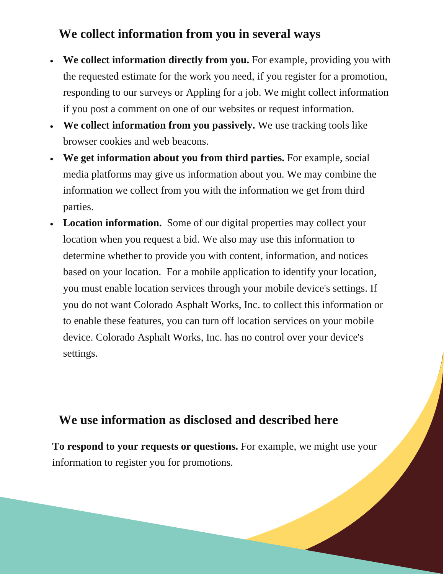### **We collect information from you in several ways**

- **We collect information directly from you.** For example, providing you with the requested estimate for the work you need, if you register for a promotion, responding to our surveys or Appling for a job. We might collect information if you post a comment on one of our websites or request information.
- **We collect information from you passively.** We use tracking tools like browser cookies and web beacons.
- **We get information about you from third parties.** For example, social media platforms may give us information about you. We may combine the information we collect from you with the information we get from third parties.
- Location information. Some of our digital properties may collect your location when you request a bid. We also may use this information to determine whether to provide you with content, information, and notices based on your location. For a mobile application to identify your location, you must enable location services through your mobile device's settings. If you do not want Colorado Asphalt Works, Inc. to collect this information or to enable these features, you can turn off location services on your mobile device. Colorado Asphalt Works, Inc. has no control over your device's settings.

#### **We use information as disclosed and described here**

**To respond to your requests or questions.** For example, we might use your information to register you for promotions.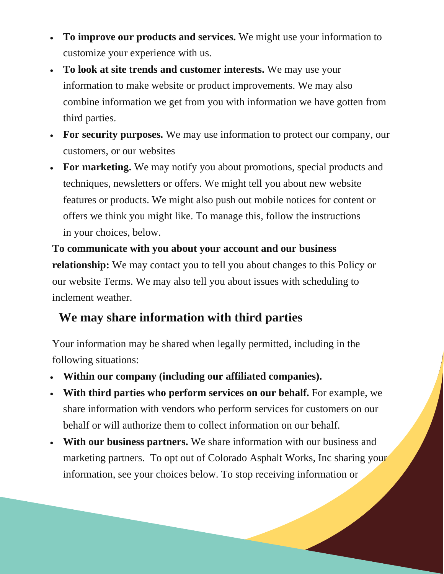- **To improve our products and services.** We might use your information to customize your experience with us.
- **To look at site trends and customer interests.** We may use your information to make website or product improvements. We may also combine information we get from you with information we have gotten from third parties.
- **For security purposes.** We may use information to protect our company, our customers, or our websites
- **For marketing.** We may notify you about promotions, special products and techniques, newsletters or offers. We might tell you about new website features or products. We might also push out mobile notices for content or offers we think you might like. To manage this, follow the instructions in your choices, below.

**To communicate with you about your account and our business relationship:** We may contact you to tell you about changes to this Policy or our website Terms. We may also tell you about issues with scheduling to inclement weather.

## **We may share information with third parties**

Your information may be shared when legally permitted, including in the following situations:

- **Within our company (including our affiliated companies).**
- **With third parties who perform services on our behalf.** For example, we share information with vendors who perform services for customers on our behalf or will authorize them to collect information on our behalf.
- **With our business partners.** We share information with our business and marketing partners. To opt out of Colorado Asphalt Works, Inc sharing your information, see your choices below. To stop receiving information or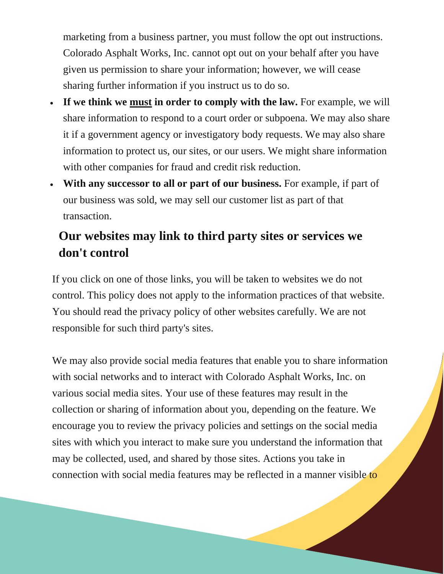marketing from a business partner, you must follow the opt out instructions. Colorado Asphalt Works, Inc. cannot opt out on your behalf after you have given us permission to share your information; however, we will cease sharing further information if you instruct us to do so.

- **If we think we must in order to comply with the law.** For example, we will share information to respond to a court order or subpoena. We may also share it if a government agency or investigatory body requests. We may also share information to protect us, our sites, or our users. We might share information with other companies for fraud and credit risk reduction.
- **With any successor to all or part of our business.** For example, if part of our business was sold, we may sell our customer list as part of that transaction.

# **Our websites may link to third party sites or services we don't control**

If you click on one of those links, you will be taken to websites we do not control. This policy does not apply to the information practices of that website. You should read the privacy policy of other websites carefully. We are not responsible for such third party's sites.

We may also provide social media features that enable you to share information with social networks and to interact with Colorado Asphalt Works, Inc. on various social media sites. Your use of these features may result in the collection or sharing of information about you, depending on the feature. We encourage you to review the privacy policies and settings on the social media sites with which you interact to make sure you understand the information that may be collected, used, and shared by those sites. Actions you take in connection with social media features may be reflected in a manner visible to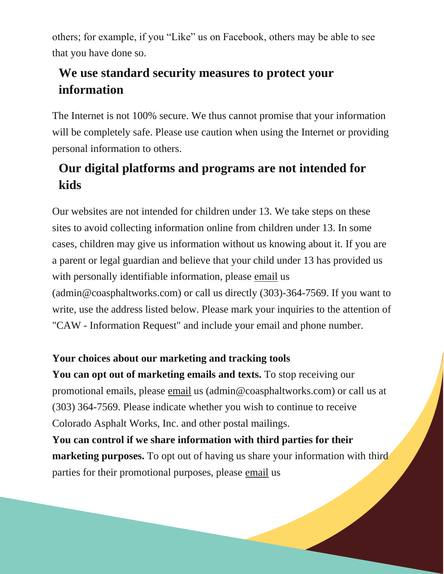others; for example, if you "Like" us on Facebook, others may be able to see that you have done so.

# **We use standard security measures to protect your information**

The Internet is not 100% secure. We thus cannot promise that your information will be completely safe. Please use caution when using the Internet or providing personal information to others.

# **Our digital platforms and programs are not intended for kids**

Our websites are not intended for children under 13. We take steps on these sites to avoid collecting information online from children under 13. In some cases, children may give us information without us knowing about it. If you are a parent or legal guardian and believe that your child under 13 has provided us with personally identifiable information, please email us (admin@coasphaltworks.com) or call us directly (303)-364-7569. If you want to write, use the address listed below. Please mark your inquiries to the attention of "CAW - Information Request" and include your email and phone number.

#### **Your choices about our marketing and tracking tools**

**You can opt out of marketing emails and texts.** To stop receiving our promotional emails, please email us (admin@coasphaltworks.com) or call us at (303) 364-7569. Please indicate whether you wish to continue to receive Colorado Asphalt Works, Inc. and other postal mailings.

**You can control if we share information with third parties for their marketing purposes.** To opt out of having us share your information with third parties for their promotional purposes, please email us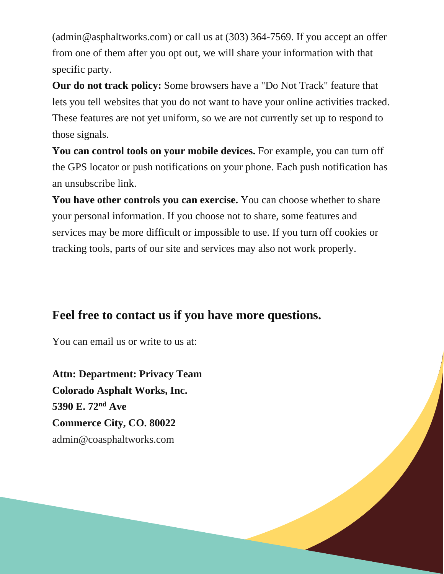(admin@asphaltworks.com) or call us at (303) 364-7569. If you accept an offer from one of them after you opt out, we will share your information with that specific party.

**Our do not track policy:** Some browsers have a "Do Not Track" feature that lets you tell websites that you do not want to have your online activities tracked. These features are not yet uniform, so we are not currently set up to respond to those signals.

**You can control tools on your mobile devices.** For example, you can turn off the GPS locator or push notifications on your phone. Each push notification has an unsubscribe link.

**You have other controls you can exercise.** You can choose whether to share your personal information. If you choose not to share, some features and services may be more difficult or impossible to use. If you turn off cookies or tracking tools, parts of our site and services may also not work properly.

#### **Feel free to contact us if you have more questions.**

You can email us or write to us at:

**Attn: Department: Privacy Team Colorado Asphalt Works, Inc. 5390 E. 72nd Ave Commerce City, CO. 80022** [admin@coasphaltworks.com](mailto:admin@coasphaltworks.com)